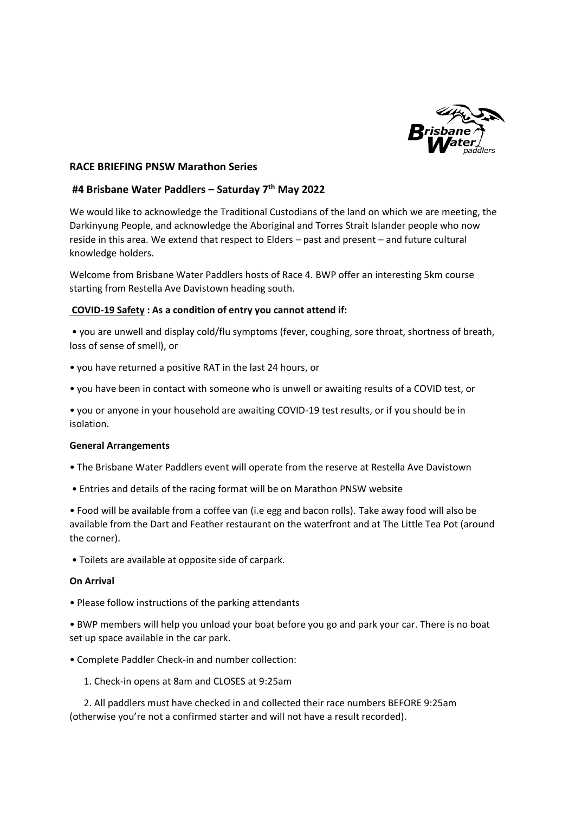

## **RACE BRIEFING PNSW Marathon Series**

# **#4 Brisbane Water Paddlers – Saturday 7th May 2022**

We would like to acknowledge the Traditional Custodians of the land on which we are meeting, the Darkinyung People, and acknowledge the Aboriginal and Torres Strait Islander people who now reside in this area. We extend that respect to Elders – past and present – and future cultural knowledge holders.

Welcome from Brisbane Water Paddlers hosts of Race 4. BWP offer an interesting 5km course starting from Restella Ave Davistown heading south.

## **COVID-19 Safety : As a condition of entry you cannot attend if:**

• you are unwell and display cold/flu symptoms (fever, coughing, sore throat, shortness of breath, loss of sense of smell), or

- you have returned a positive RAT in the last 24 hours, or
- you have been in contact with someone who is unwell or awaiting results of a COVID test, or

• you or anyone in your household are awaiting COVID-19 test results, or if you should be in isolation.

#### **General Arrangements**

- The Brisbane Water Paddlers event will operate from the reserve at Restella Ave Davistown
- Entries and details of the racing format will be on Marathon PNSW website

• Food will be available from a coffee van (i.e egg and bacon rolls). Take away food will also be available from the Dart and Feather restaurant on the waterfront and at The Little Tea Pot (around the corner).

• Toilets are available at opposite side of carpark.

#### **On Arrival**

• Please follow instructions of the parking attendants

• BWP members will help you unload your boat before you go and park your car. There is no boat set up space available in the car park.

- Complete Paddler Check-in and number collection:
	- 1. Check-in opens at 8am and CLOSES at 9:25am

 2. All paddlers must have checked in and collected their race numbers BEFORE 9:25am (otherwise you're not a confirmed starter and will not have a result recorded).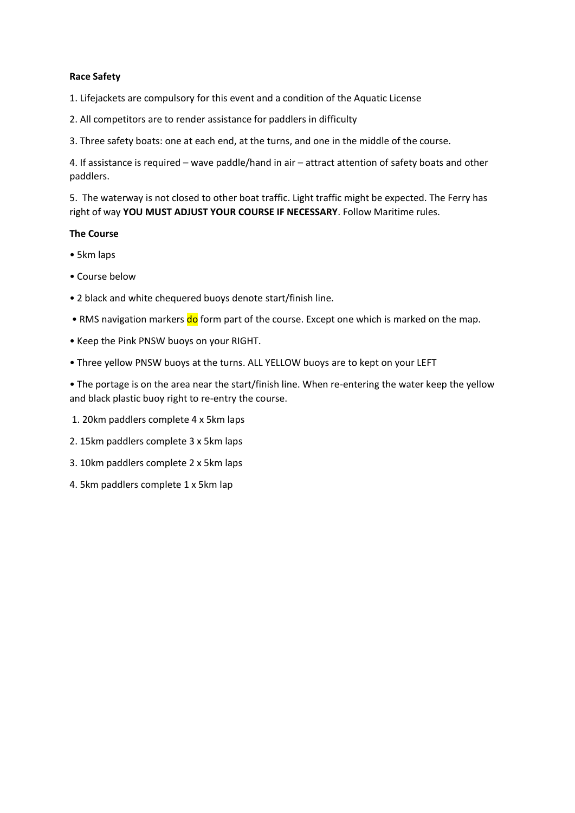# **Race Safety**

- 1. Lifejackets are compulsory for this event and a condition of the Aquatic License
- 2. All competitors are to render assistance for paddlers in difficulty
- 3. Three safety boats: one at each end, at the turns, and one in the middle of the course.

4. If assistance is required – wave paddle/hand in air – attract attention of safety boats and other paddlers.

5. The waterway is not closed to other boat traffic. Light traffic might be expected. The Ferry has right of way **YOU MUST ADJUST YOUR COURSE IF NECESSARY**. Follow Maritime rules.

# **The Course**

- 5km laps
- Course below
- 2 black and white chequered buoys denote start/finish line.
- RMS navigation markers do form part of the course. Except one which is marked on the map.
- Keep the Pink PNSW buoys on your RIGHT.
- Three yellow PNSW buoys at the turns. ALL YELLOW buoys are to kept on your LEFT

• The portage is on the area near the start/finish line. When re-entering the water keep the yellow and black plastic buoy right to re-entry the course.

- 1. 20km paddlers complete 4 x 5km laps
- 2. 15km paddlers complete 3 x 5km laps
- 3. 10km paddlers complete 2 x 5km laps
- 4. 5km paddlers complete 1 x 5km lap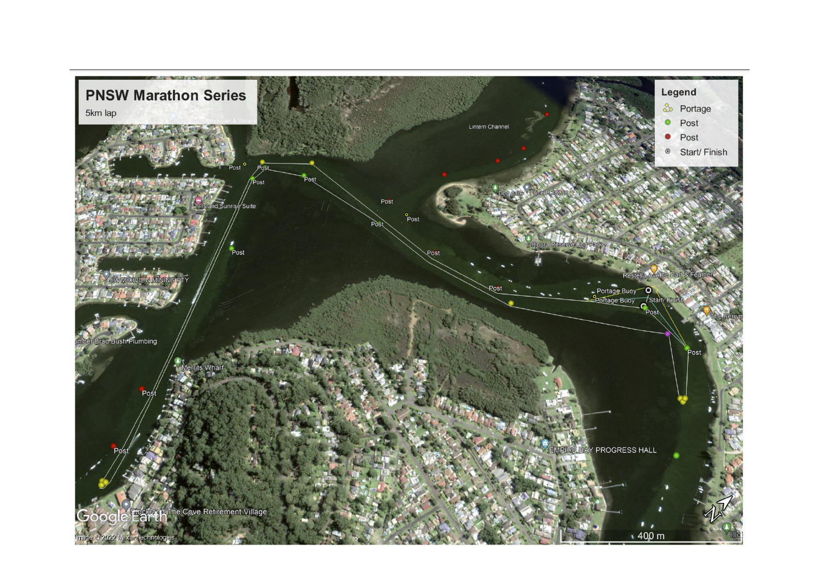